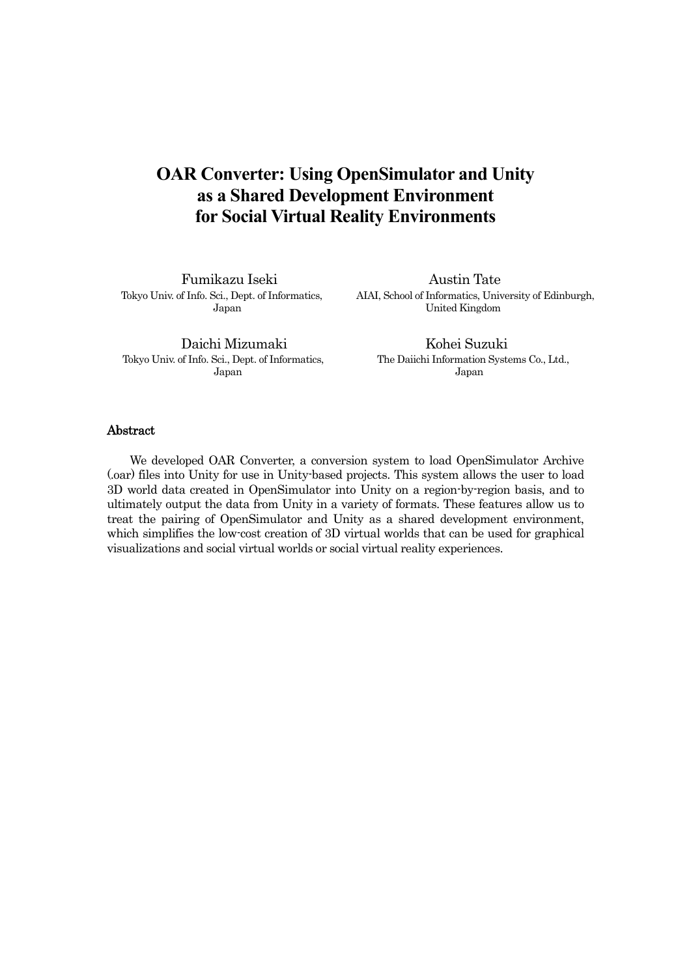# **OAR Converter: Using OpenSimulator and Unity as a Shared Development Environment for Social Virtual Reality Environments**

Fumikazu Iseki Austin Tate

Tokyo Univ. of Info. Sci., Dept. of Informatics, AIAI, School of Informatics, University of Edinburgh, Japan United Kingdom

Daichi Mizumaki Kohei Suzuki Tokyo Univ. of Info. Sci., Dept. of Informatics, The Daiichi Information Systems Co., Ltd., Japan Japan

### **Abstract**

We developed OAR Converter, a conversion system to load OpenSimulator Archive (.oar) files into Unity for use in Unity-based projects. This system allows the user to load 3D world data created in OpenSimulator into Unity on a region-by-region basis, and to ultimately output the data from Unity in a variety of formats. These features allow us to treat the pairing of OpenSimulator and Unity as a shared development environment, which simplifies the low-cost creation of 3D virtual worlds that can be used for graphical visualizations and social virtual worlds or social virtual reality experiences.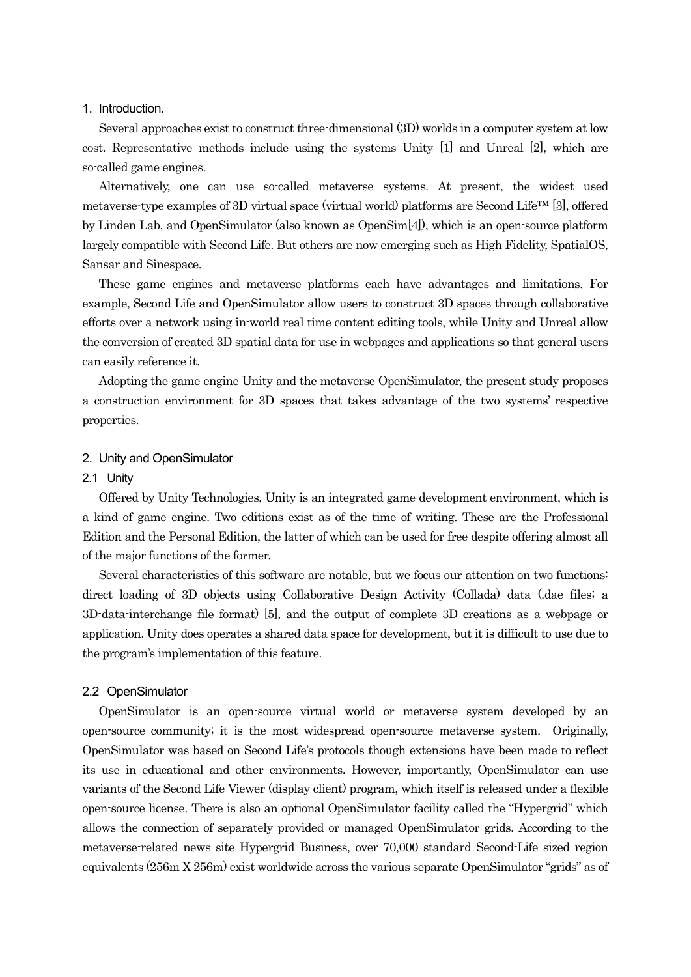### 1. Introduction.

Several approaches exist to construct three-dimensional (3D) worlds in a computer system at low cost. Representative methods include using the systems Unity [1] and Unreal [2], which are so-called game engines.

Alternatively, one can use so-called metaverse systems. At present, the widest used metaverse-type examples of 3D virtual space (virtual world) platforms are Second Life™ [3], offered by Linden Lab, and OpenSimulator (also known as OpenSim[4]), which is an open-source platform largely compatible with Second Life. But others are now emerging such as High Fidelity, SpatialOS, Sansar and Sinespace.

These game engines and metaverse platforms each have advantages and limitations. For example, Second Life and OpenSimulator allow users to construct 3D spaces through collaborative efforts over a network using in-world real time content editing tools, while Unity and Unreal allow the conversion of created 3D spatial data for use in webpages and applications so that general users can easily reference it.

Adopting the game engine Unity and the metaverse OpenSimulator, the present study proposes a construction environment for 3D spaces that takes advantage of the two systems' respective properties.

### 2. Unity and OpenSimulator

### 2.1 Unity

Offered by Unity Technologies, Unity is an integrated game development environment, which is a kind of game engine. Two editions exist as of the time of writing. These are the Professional Edition and the Personal Edition, the latter of which can be used for free despite offering almost all of the major functions of the former.

Several characteristics of this software are notable, but we focus our attention on two functions: direct loading of 3D objects using Collaborative Design Activity (Collada) data (.dae files; a 3D-data-interchange file format) [5], and the output of complete 3D creations as a webpage or application. Unity does operates a shared data space for development, but it is difficult to use due to the program's implementation of this feature.

#### 2.2 OpenSimulator

OpenSimulator is an open-source virtual world or metaverse system developed by an open-source community; it is the most widespread open-source metaverse system. Originally, OpenSimulator was based on Second Life's protocols though extensions have been made to reflect its use in educational and other environments. However, importantly, OpenSimulator can use variants of the Second Life Viewer (display client) program, which itself is released under a flexible open-source license. There is also an optional OpenSimulator facility called the "Hypergrid" which allows the connection of separately provided or managed OpenSimulator grids. According to the metaverse-related news site Hypergrid Business, over 70,000 standard Second-Life sized region equivalents (256m X 256m) exist worldwide across the various separate OpenSimulator "grids" as of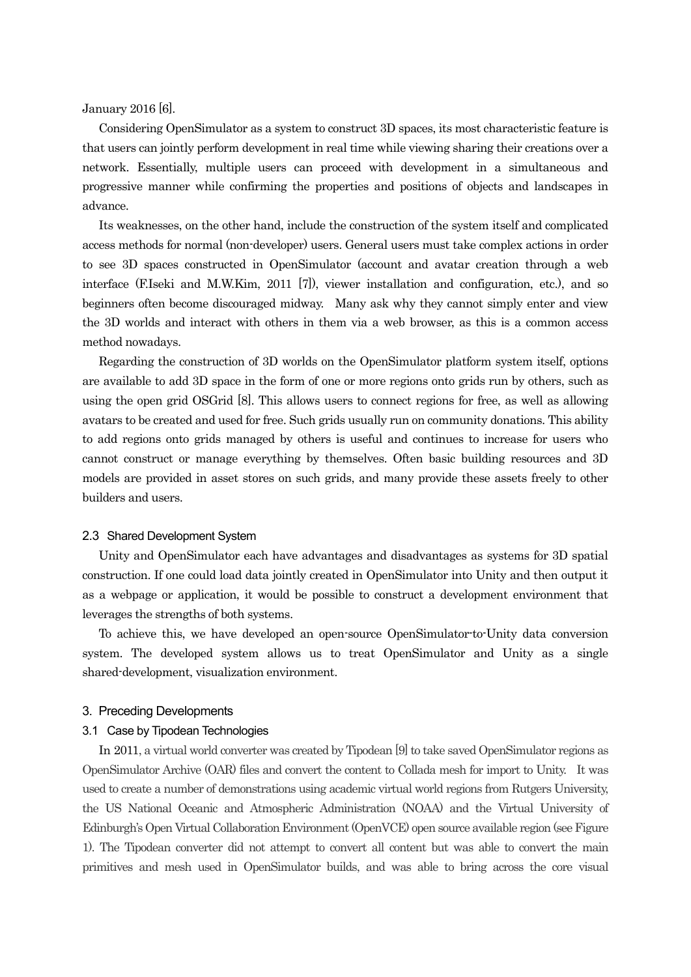January 2016 [6].

Considering OpenSimulator as a system to construct 3D spaces, its most characteristic feature is that users can jointly perform development in real time while viewing sharing their creations over a network. Essentially, multiple users can proceed with development in a simultaneous and progressive manner while confirming the properties and positions of objects and landscapes in advance.

Its weaknesses, on the other hand, include the construction of the system itself and complicated access methods for normal (non-developer) users. General users must take complex actions in order to see 3D spaces constructed in OpenSimulator (account and avatar creation through a web interface (F.Iseki and M.W.Kim, 2011 [7]), viewer installation and configuration, etc.), and so beginners often become discouraged midway. Many ask why they cannot simply enter and view the 3D worlds and interact with others in them via a web browser, as this is a common access method nowadays.

Regarding the construction of 3D worlds on the OpenSimulator platform system itself, options are available to add 3D space in the form of one or more regions onto grids run by others, such as using the open grid OSGrid [8]. This allows users to connect regions for free, as well as allowing avatars to be created and used for free. Such grids usually run on community donations. This ability to add regions onto grids managed by others is useful and continues to increase for users who cannot construct or manage everything by themselves. Often basic building resources and 3D models are provided in asset stores on such grids, and many provide these assets freely to other builders and users.

#### 2.3 Shared Development System

Unity and OpenSimulator each have advantages and disadvantages as systems for 3D spatial construction. If one could load data jointly created in OpenSimulator into Unity and then output it as a webpage or application, it would be possible to construct a development environment that leverages the strengths of both systems.

To achieve this, we have developed an open-source OpenSimulator-to-Unity data conversion system. The developed system allows us to treat OpenSimulator and Unity as a single shared-development, visualization environment.

### 3. Preceding Developments

### 3.1 Case by Tipodean Technologies

In 2011, a virtual world converter was created by Tipodean [9] to take saved OpenSimulator regions as OpenSimulator Archive (OAR) files and convert the content to Collada mesh for import to Unity. It was used to create a number of demonstrations using academic virtual world regions from Rutgers University, the US National Oceanic and Atmospheric Administration (NOAA) and the Virtual University of Edinburgh's Open Virtual Collaboration Environment (OpenVCE) open source available region (see Figure 1). The Tipodean converter did not attempt to convert all content but was able to convert the main primitives and mesh used in OpenSimulator builds, and was able to bring across the core visual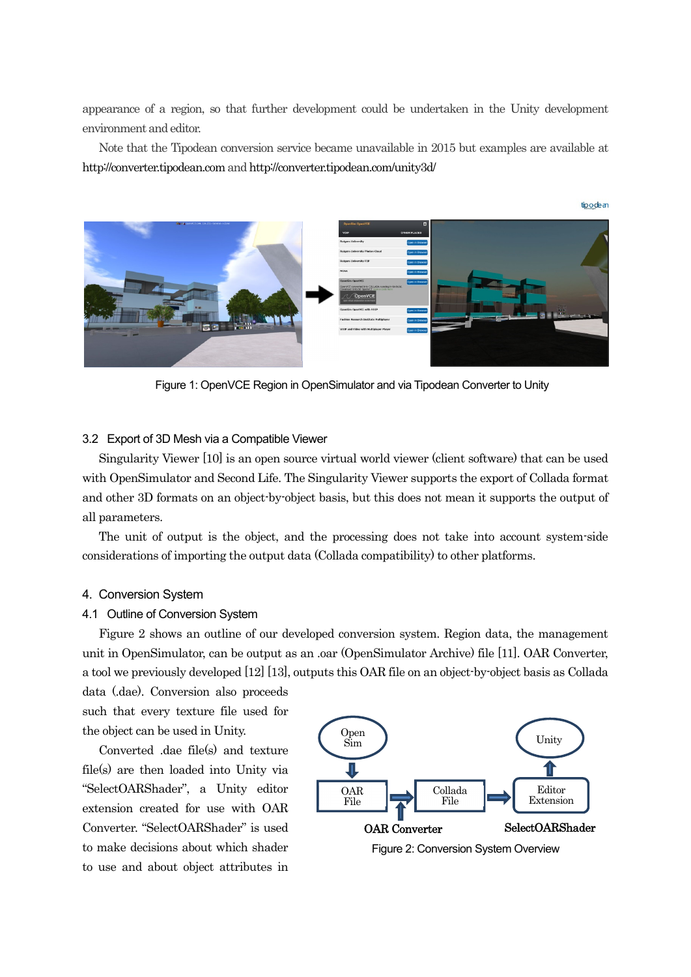appearance of a region, so that further development could be undertaken in the Unity development environment and editor.

Note that the Tipodean conversion service became unavailable in 2015 but examples are available at http://converter.tipodean.com and http://converter.tipodean.com/unity3d/



Figure 1: OpenVCE Region in OpenSimulator and via Tipodean Converter to Unity

### 3.2 Export of 3D Mesh via a Compatible Viewer

Singularity Viewer [10] is an open source virtual world viewer (client software) that can be used with OpenSimulator and Second Life. The Singularity Viewer supports the export of Collada format and other 3D formats on an object-by-object basis, but this does not mean it supports the output of all parameters.

The unit of output is the object, and the processing does not take into account system-side considerations of importing the output data (Collada compatibility) to other platforms.

### 4. Conversion System

#### 4.1 Outline of Conversion System

Figure 2 shows an outline of our developed conversion system. Region data, the management unit in OpenSimulator, can be output as an .oar (OpenSimulator Archive) file [11]. OAR Converter, a tool we previously developed [12] [13], outputs this OAR file on an object-by-object basis as Collada

data (.dae). Conversion also proceeds such that every texture file used for the object can be used in Unity.

Converted .dae file(s) and texture file(s) are then loaded into Unity via "SelectOARShader", a Unity editor extension created for use with OAR Converter. "SelectOARShader" is used to make decisions about which shader to use and about object attributes in

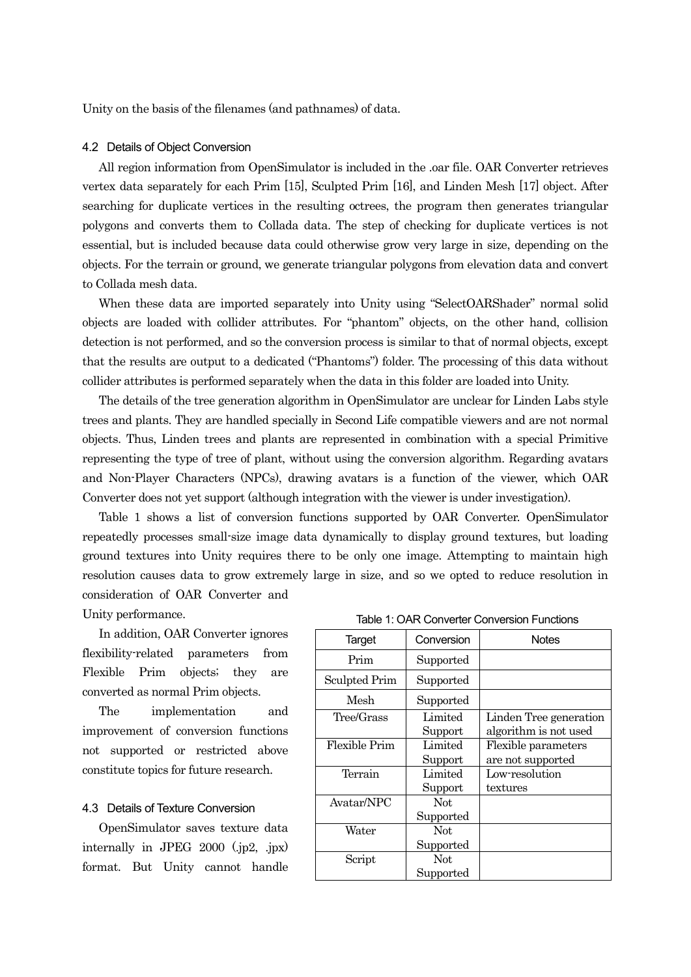Unity on the basis of the filenames (and pathnames) of data.

### 4.2 Details of Object Conversion

All region information from OpenSimulator is included in the .oar file. OAR Converter retrieves vertex data separately for each Prim [15], Sculpted Prim [16], and Linden Mesh [17] object. After searching for duplicate vertices in the resulting octrees, the program then generates triangular polygons and converts them to Collada data. The step of checking for duplicate vertices is not essential, but is included because data could otherwise grow very large in size, depending on the objects. For the terrain or ground, we generate triangular polygons from elevation data and convert to Collada mesh data.

When these data are imported separately into Unity using "SelectOARShader" normal solid objects are loaded with collider attributes. For "phantom" objects, on the other hand, collision detection is not performed, and so the conversion process is similar to that of normal objects, except that the results are output to a dedicated ("Phantoms") folder. The processing of this data without collider attributes is performed separately when the data in this folder are loaded into Unity.

The details of the tree generation algorithm in OpenSimulator are unclear for Linden Labs style trees and plants. They are handled specially in Second Life compatible viewers and are not normal objects. Thus, Linden trees and plants are represented in combination with a special Primitive representing the type of tree of plant, without using the conversion algorithm. Regarding avatars and Non-Player Characters (NPCs), drawing avatars is a function of the viewer, which OAR Converter does not yet support (although integration with the viewer is under investigation).

Table 1 shows a list of conversion functions supported by OAR Converter. OpenSimulator repeatedly processes small-size image data dynamically to display ground textures, but loading ground textures into Unity requires there to be only one image. Attempting to maintain high resolution causes data to grow extremely large in size, and so we opted to reduce resolution in consideration of OAR Converter and

Unity performance.

In addition, OAR Converter ignores flexibility-related parameters from Flexible Prim objects; they are converted as normal Prim objects.

The implementation and improvement of conversion functions not supported or restricted above constitute topics for future research.

### 4.3 Details of Texture Conversion

OpenSimulator saves texture data internally in JPEG 2000 (.jp2, .jpx) format. But Unity cannot handle

|  | Table 1: OAR Converter Conversion Functions |
|--|---------------------------------------------|
|  |                                             |

| Target               | Conversion | <b>Notes</b>           |
|----------------------|------------|------------------------|
| Prim                 | Supported  |                        |
| Sculpted Prim        | Supported  |                        |
| Mesh                 | Supported  |                        |
| Tree/Grass           | Limited    | Linden Tree generation |
|                      | Support    | algorithm is not used  |
| <b>Flexible Prim</b> | Limited    | Flexible parameters    |
|                      | Support    | are not supported      |
| Terrain              | Limited    | Low-resolution         |
|                      | Support    | textures               |
| Avatar/NPC           | Not.       |                        |
|                      | Supported  |                        |
| Water                | Not        |                        |
|                      | Supported  |                        |
| Script               | Not        |                        |
|                      | Supported  |                        |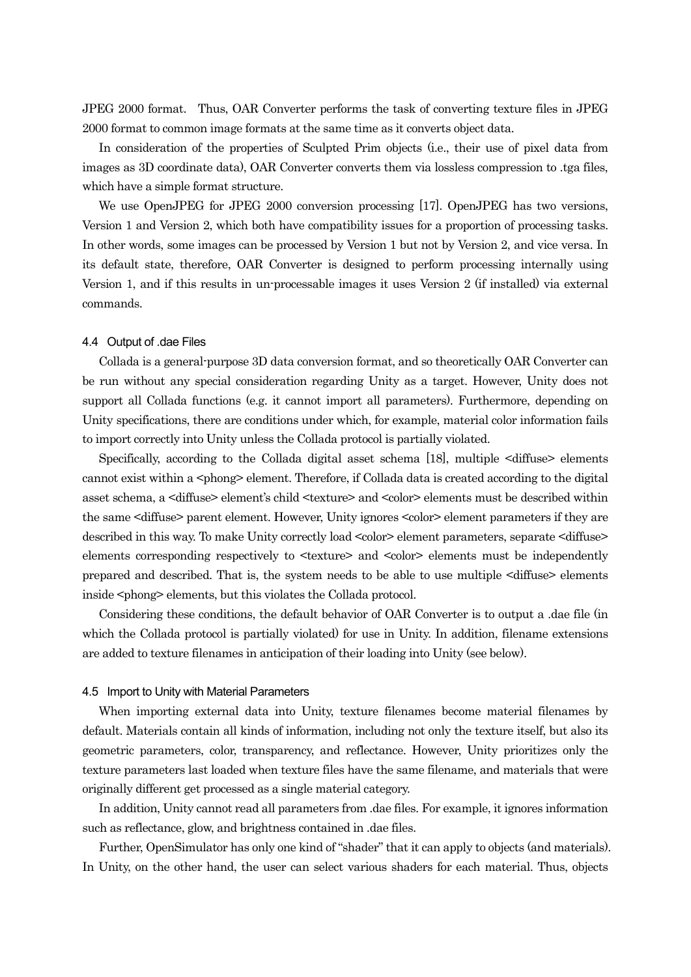JPEG 2000 format. Thus, OAR Converter performs the task of converting texture files in JPEG 2000 format to common image formats at the same time as it converts object data.

In consideration of the properties of Sculpted Prim objects (i.e., their use of pixel data from images as 3D coordinate data), OAR Converter converts them via lossless compression to .tga files, which have a simple format structure.

We use OpenJPEG for JPEG 2000 conversion processing [17]. OpenJPEG has two versions, Version 1 and Version 2, which both have compatibility issues for a proportion of processing tasks. In other words, some images can be processed by Version 1 but not by Version 2, and vice versa. In its default state, therefore, OAR Converter is designed to perform processing internally using Version 1, and if this results in un-processable images it uses Version 2 (if installed) via external commands.

#### 4.4 Output of .dae Files

Collada is a general-purpose 3D data conversion format, and so theoretically OAR Converter can be run without any special consideration regarding Unity as a target. However, Unity does not support all Collada functions (e.g. it cannot import all parameters). Furthermore, depending on Unity specifications, there are conditions under which, for example, material color information fails to import correctly into Unity unless the Collada protocol is partially violated.

Specifically, according to the Collada digital asset schema [18], multiple <diffuse> elements cannot exist within a  $\langle$ phong $\rangle$  element. Therefore, if Collada data is created according to the digital asset schema, a <diffuse> element's child <texture> and <color> elements must be described within the same <diffuse> parent element. However, Unity ignores <color> element parameters if they are described in this way. To make Unity correctly load <color> element parameters, separate <diffuse> elements corresponding respectively to <texture> and <color> elements must be independently prepared and described. That is, the system needs to be able to use multiple <diffuse> elements inside <phong> elements, but this violates the Collada protocol.

Considering these conditions, the default behavior of OAR Converter is to output a .dae file (in which the Collada protocol is partially violated) for use in Unity. In addition, filename extensions are added to texture filenames in anticipation of their loading into Unity (see below).

#### 4.5 Import to Unity with Material Parameters

When importing external data into Unity, texture filenames become material filenames by default. Materials contain all kinds of information, including not only the texture itself, but also its geometric parameters, color, transparency, and reflectance. However, Unity prioritizes only the texture parameters last loaded when texture files have the same filename, and materials that were originally different get processed as a single material category.

In addition, Unity cannot read all parameters from .dae files. For example, it ignores information such as reflectance, glow, and brightness contained in .dae files.

Further, OpenSimulator has only one kind of "shader" that it can apply to objects (and materials). In Unity, on the other hand, the user can select various shaders for each material. Thus, objects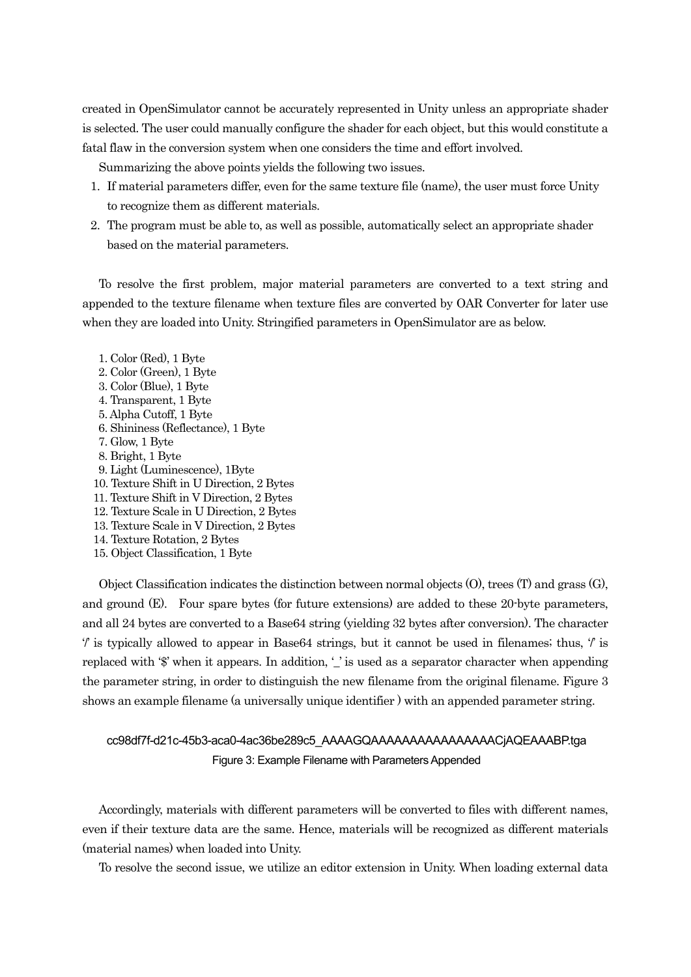created in OpenSimulator cannot be accurately represented in Unity unless an appropriate shader is selected. The user could manually configure the shader for each object, but this would constitute a fatal flaw in the conversion system when one considers the time and effort involved.

Summarizing the above points yields the following two issues.

- 1. If material parameters differ, even for the same texture file (name), the user must force Unity to recognize them as different materials.
- 2. The program must be able to, as well as possible, automatically select an appropriate shader based on the material parameters.

To resolve the first problem, major material parameters are converted to a text string and appended to the texture filename when texture files are converted by OAR Converter for later use when they are loaded into Unity. Stringified parameters in OpenSimulator are as below.

1. Color (Red), 1 Byte 2. Color (Green), 1 Byte 3. Color (Blue), 1 Byte 4. Transparent, 1 Byte 5. Alpha Cutoff, 1 Byte 6. Shininess (Reflectance), 1 Byte 7. Glow, 1 Byte 8. Bright, 1 Byte 9. Light (Luminescence), 1Byte 10. Texture Shift in U Direction, 2 Bytes 11. Texture Shift in V Direction, 2 Bytes 12. Texture Scale in U Direction, 2 Bytes 13. Texture Scale in V Direction, 2 Bytes 14. Texture Rotation, 2 Bytes 15. Object Classification, 1 Byte

Object Classification indicates the distinction between normal objects (O), trees (T) and grass (G), and ground (E). Four spare bytes (for future extensions) are added to these 20-byte parameters, and all 24 bytes are converted to a Base64 string (yielding 32 bytes after conversion). The character  $\ell'$  is typically allowed to appear in Base 64 strings, but it cannot be used in filenames; thus,  $\ell'$  is replaced with '\$' when it appears. In addition, '\_' is used as a separator character when appending the parameter string, in order to distinguish the new filename from the original filename. Figure 3 shows an example filename (a universally unique identifier ) with an appended parameter string.

# cc98df7f-d21c-45b3-aca0-4ac36be289c5\_AAAAGQAAAAAAAAAAAAAAAACjAQEAAABP.tga Figure 3: Example Filename with Parameters Appended

Accordingly, materials with different parameters will be converted to files with different names, even if their texture data are the same. Hence, materials will be recognized as different materials (material names) when loaded into Unity.

To resolve the second issue, we utilize an editor extension in Unity. When loading external data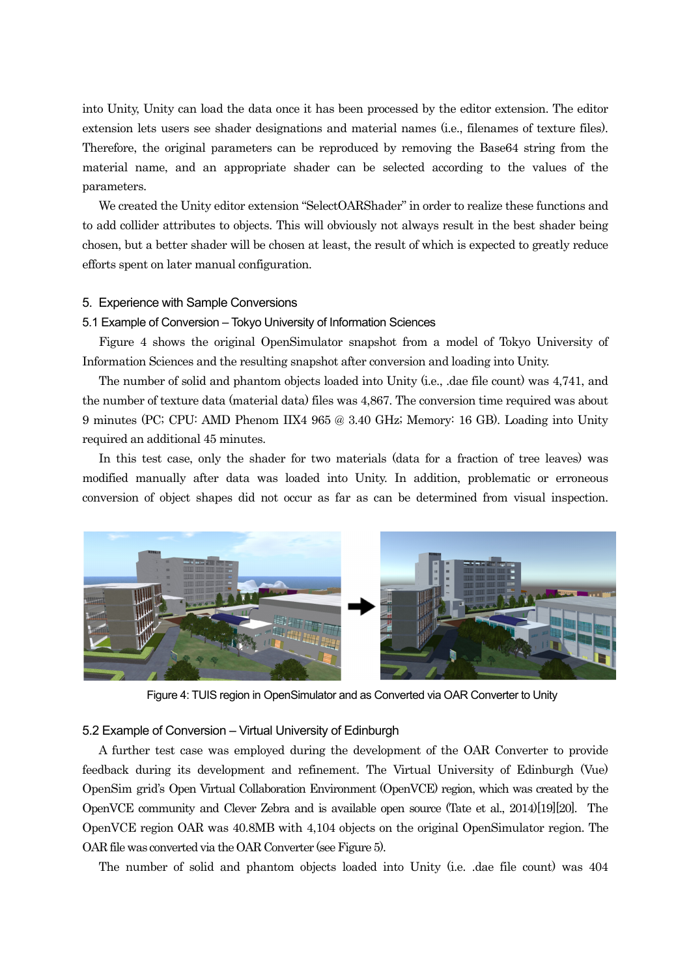into Unity, Unity can load the data once it has been processed by the editor extension. The editor extension lets users see shader designations and material names (i.e., filenames of texture files). Therefore, the original parameters can be reproduced by removing the Base64 string from the material name, and an appropriate shader can be selected according to the values of the parameters.

We created the Unity editor extension "SelectOARShader" in order to realize these functions and to add collider attributes to objects. This will obviously not always result in the best shader being chosen, but a better shader will be chosen at least, the result of which is expected to greatly reduce efforts spent on later manual configuration.

### 5. Experience with Sample Conversions

### 5.1 Example of Conversion – Tokyo University of Information Sciences

Figure 4 shows the original OpenSimulator snapshot from a model of Tokyo University of Information Sciences and the resulting snapshot after conversion and loading into Unity.

The number of solid and phantom objects loaded into Unity (i.e., .dae file count) was 4,741, and the number of texture data (material data) files was 4,867. The conversion time required was about 9 minutes (PC; CPU: AMD Phenom IIX4 965 @ 3.40 GHz; Memory: 16 GB). Loading into Unity required an additional 45 minutes.

In this test case, only the shader for two materials (data for a fraction of tree leaves) was modified manually after data was loaded into Unity. In addition, problematic or erroneous conversion of object shapes did not occur as far as can be determined from visual inspection.



Figure 4: TUIS region in OpenSimulator and as Converted via OAR Converter to Unity

### 5.2 Example of Conversion – Virtual University of Edinburgh

A further test case was employed during the development of the OAR Converter to provide feedback during its development and refinement. The Virtual University of Edinburgh (Vue) OpenSim grid's Open Virtual Collaboration Environment (OpenVCE) region, which was created by the OpenVCE community and Clever Zebra and is available open source (Tate et al., 2014)[19][20]. The OpenVCE region OAR was 40.8MB with 4,104 objects on the original OpenSimulator region. The OAR file was converted via the OAR Converter (see Figure 5).

The number of solid and phantom objects loaded into Unity (i.e. .dae file count) was 404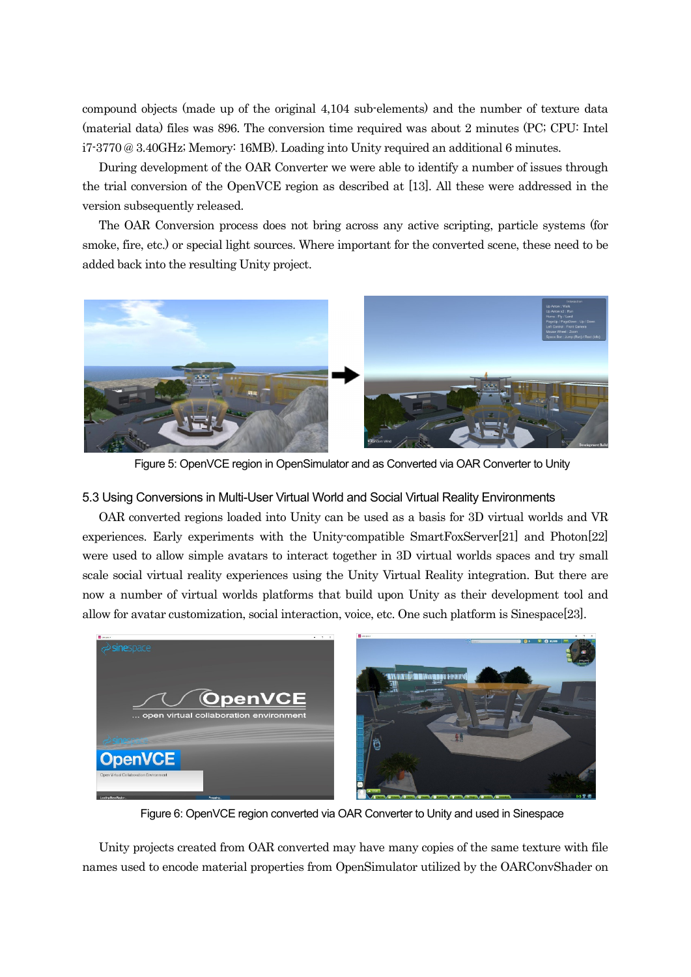compound objects (made up of the original 4,104 sub-elements) and the number of texture data (material data) files was 896. The conversion time required was about 2 minutes (PC; CPU: Intel i7-3770 @ 3.40GHz; Memory: 16MB). Loading into Unity required an additional 6 minutes.

During development of the OAR Converter we were able to identify a number of issues through the trial conversion of the OpenVCE region as described at [13]. All these were addressed in the version subsequently released.

The OAR Conversion process does not bring across any active scripting, particle systems (for smoke, fire, etc.) or special light sources. Where important for the converted scene, these need to be added back into the resulting Unity project.



Figure 5: OpenVCE region in OpenSimulator and as Converted via OAR Converter to Unity

### 5.3 Using Conversions in Multi-User Virtual World and Social Virtual Reality Environments

OAR converted regions loaded into Unity can be used as a basis for 3D virtual worlds and VR experiences. Early experiments with the Unity-compatible SmartFoxServer[21] and Photon[22] were used to allow simple avatars to interact together in 3D virtual worlds spaces and try small scale social virtual reality experiences using the Unity Virtual Reality integration. But there are now a number of virtual worlds platforms that build upon Unity as their development tool and allow for avatar customization, social interaction, voice, etc. One such platform is Sinespace[23].



Figure 6: OpenVCE region converted via OAR Converter to Unity and used in Sinespace

Unity projects created from OAR converted may have many copies of the same texture with file names used to encode material properties from OpenSimulator utilized by the OARConvShader on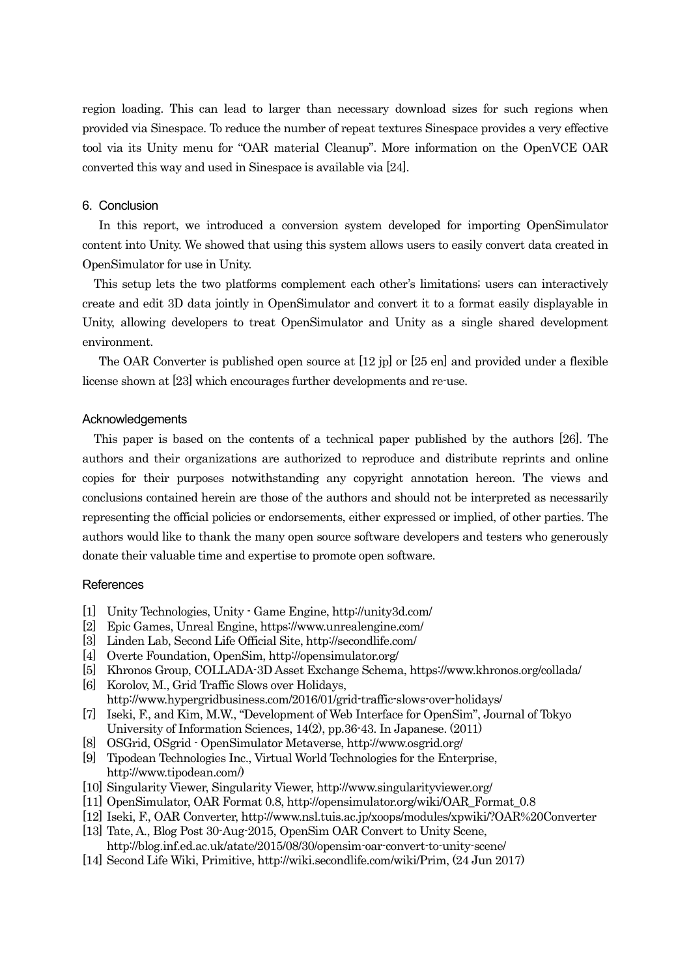region loading. This can lead to larger than necessary download sizes for such regions when provided via Sinespace. To reduce the number of repeat textures Sinespace provides a very effective tool via its Unity menu for "OAR material Cleanup". More information on the OpenVCE OAR converted this way and used in Sinespace is available via [24].

### 6. Conclusion

In this report, we introduced a conversion system developed for importing OpenSimulator content into Unity. We showed that using this system allows users to easily convert data created in OpenSimulator for use in Unity.

This setup lets the two platforms complement each other's limitations; users can interactively create and edit 3D data jointly in OpenSimulator and convert it to a format easily displayable in Unity, allowing developers to treat OpenSimulator and Unity as a single shared development environment.

The OAR Converter is published open source at [12 jp] or [25 en] and provided under a flexible license shown at [23] which encourages further developments and re-use.

### Acknowledgements

This paper is based on the contents of a technical paper published by the authors [26]. The authors and their organizations are authorized to reproduce and distribute reprints and online copies for their purposes notwithstanding any copyright annotation hereon. The views and conclusions contained herein are those of the authors and should not be interpreted as necessarily representing the official policies or endorsements, either expressed or implied, of other parties. The authors would like to thank the many open source software developers and testers who generously donate their valuable time and expertise to promote open software.

### **References**

- [1] Unity Technologies, Unity Game Engine, http://unity3d.com/
- [2] Epic Games, Unreal Engine, https://www.unrealengine.com/
- [3] Linden Lab, Second Life Official Site, http://secondlife.com/
- [4] Overte Foundation, OpenSim, http://opensimulator.org/
- [5] Khronos Group, COLLADA-3D Asset Exchange Schema, https://www.khronos.org/collada/
- [6] Korolov, M., Grid Traffic Slows over Holidays,
- http://www.hypergridbusiness.com/2016/01/grid-traffic-slows-over-holidays/
- [7] Iseki, F., and Kim, M.W., "Development of Web Interface for OpenSim", Journal of Tokyo University of Information Sciences, 14(2), pp.36-43. In Japanese. (2011)
- [8] OSGrid, OSgrid OpenSimulator Metaverse, http://www.osgrid.org/
- [9] Tipodean Technologies Inc., Virtual World Technologies for the Enterprise, http://www.tipodean.com/)
- [10] Singularity Viewer, Singularity Viewer, http://www.singularityviewer.org/
- [11] OpenSimulator, OAR Format 0.8, http://opensimulator.org/wiki/OAR\_Format\_0.8
- [12] Iseki, F., OAR Converter, http://www.nsl.tuis.ac.jp/xoops/modules/xpwiki/?OAR%20Converter
- [13] Tate, A., Blog Post 30-Aug-2015, OpenSim OAR Convert to Unity Scene, http://blog.inf.ed.ac.uk/atate/2015/08/30/opensim-oar-convert-to-unity-scene/
- [14] Second Life Wiki, Primitive, http://wiki.secondlife.com/wiki/Prim, (24 Jun 2017)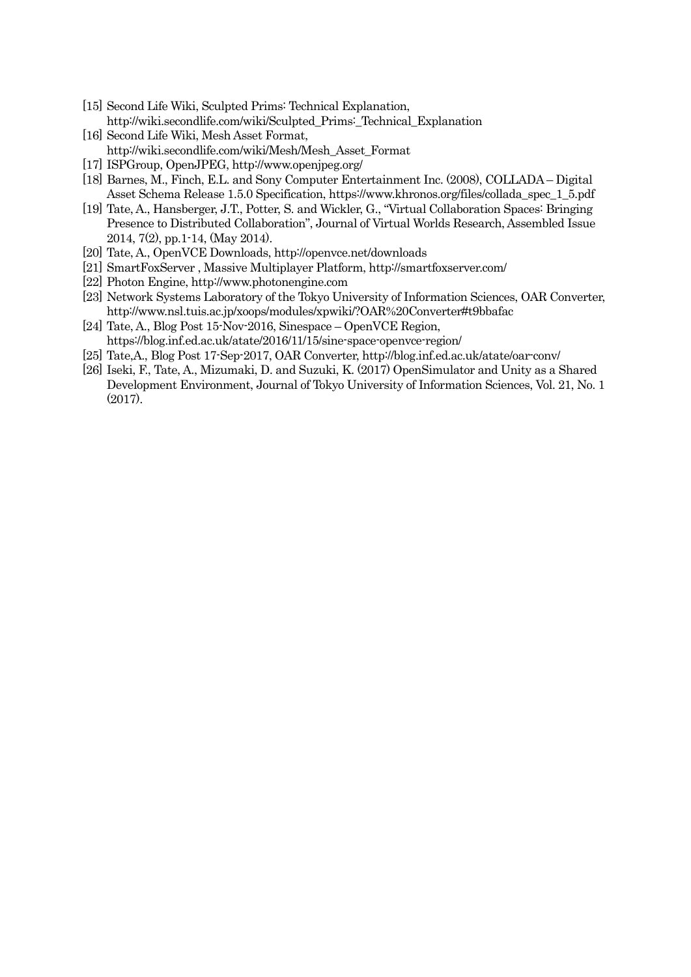- [15] Second Life Wiki, Sculpted Prims: Technical Explanation, http://wiki.secondlife.com/wiki/Sculpted\_Prims:\_Technical\_Explanation
- [16] Second Life Wiki, Mesh Asset Format, http://wiki.secondlife.com/wiki/Mesh/Mesh\_Asset\_Format
- [17] ISPGroup, OpenJPEG, http://www.openjpeg.org/
- [18] Barnes, M., Finch, E.L. and Sony Computer Entertainment Inc. (2008), COLLADA Digital Asset Schema Release 1.5.0 Specification, https://www.khronos.org/files/collada\_spec\_1\_5.pdf
- [19] Tate, A., Hansberger, J.T., Potter, S. and Wickler, G., "Virtual Collaboration Spaces: Bringing Presence to Distributed Collaboration", Journal of Virtual Worlds Research, Assembled Issue 2014, 7(2), pp.1-14, (May 2014).
- [20] Tate, A., OpenVCE Downloads, http://openvce.net/downloads
- [21] SmartFoxServer , Massive Multiplayer Platform, http://smartfoxserver.com/
- [22] Photon Engine, http://www.photonengine.com
- [23] Network Systems Laboratory of the Tokyo University of Information Sciences, OAR Converter, http://www.nsl.tuis.ac.jp/xoops/modules/xpwiki/?OAR%20Converter#t9bbafac
- [24] Tate, A., Blog Post 15-Nov-2016, Sinespace OpenVCE Region, https://blog.inf.ed.ac.uk/atate/2016/11/15/sine-space-openvce-region/
- [25] Tate,A., Blog Post 17-Sep-2017, OAR Converter, http://blog.inf.ed.ac.uk/atate/oar-conv/
- [26] Iseki, F., Tate, A., Mizumaki, D. and Suzuki, K. (2017) OpenSimulator and Unity as a Shared Development Environment, Journal of Tokyo University of Information Sciences, Vol. 21, No. 1 (2017).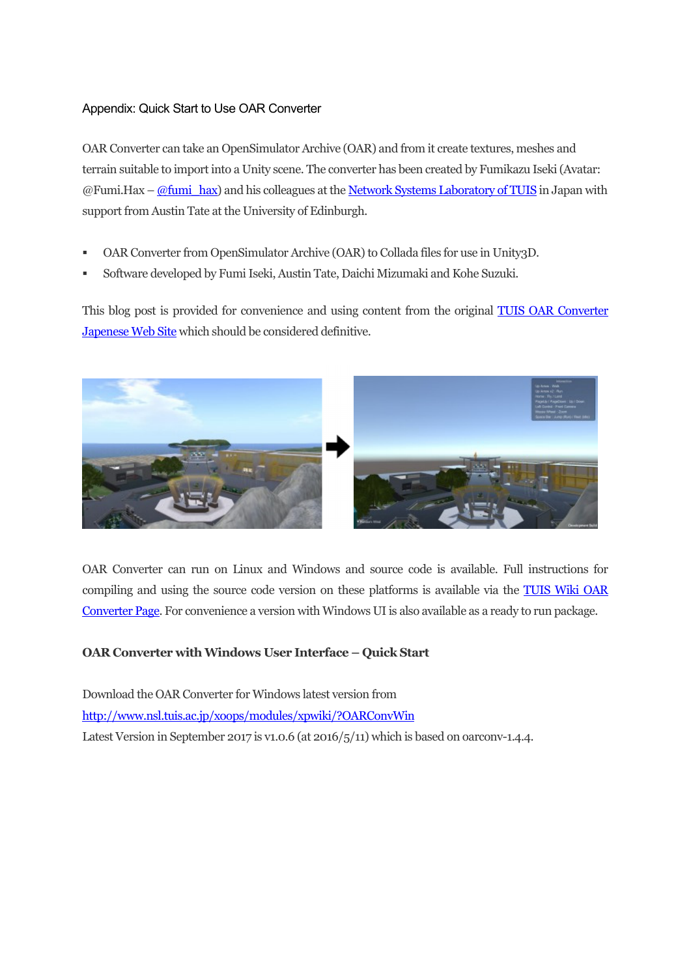# Appendix: Quick Start to Use OAR Converter

OAR Converter can take an OpenSimulator Archive (OAR) and from it create textures, meshes and terrain suitable to import into a Unity scene. The converter has been created by Fumikazu Iseki (Avatar:  $@Fumi.Hax - @fumi-hax)$  and his colleagues at the Network Systems Laboratory of TUIS in Japan with support from Austin Tate at the University of Edinburgh.

- OAR Converter from OpenSimulator Archive (OAR) to Collada files for use in Unity3D.
- Software developed by Fumi Iseki, Austin Tate, Daichi Mizumaki and Kohe Suzuki.

This blog post is provided for convenience and using content from the original TUIS OAR Converter Japenese Web Site which should be considered definitive.



OAR Converter can run on Linux and Windows and source code is available. Full instructions for compiling and using the source code version on these platforms is available via the TUIS Wiki OAR Converter Page. For convenience a version with Windows UI is also available as a ready to run package.

# **OAR Converter with Windows User Interface – Quick Start**

Download the OAR Converter for Windows latest version from http://www.nsl.tuis.ac.jp/xoops/modules/xpwiki/?OARConvWin Latest Version in September 2017 is v1.0.6 (at 2016/5/11) which is based on oarconv-1.4.4.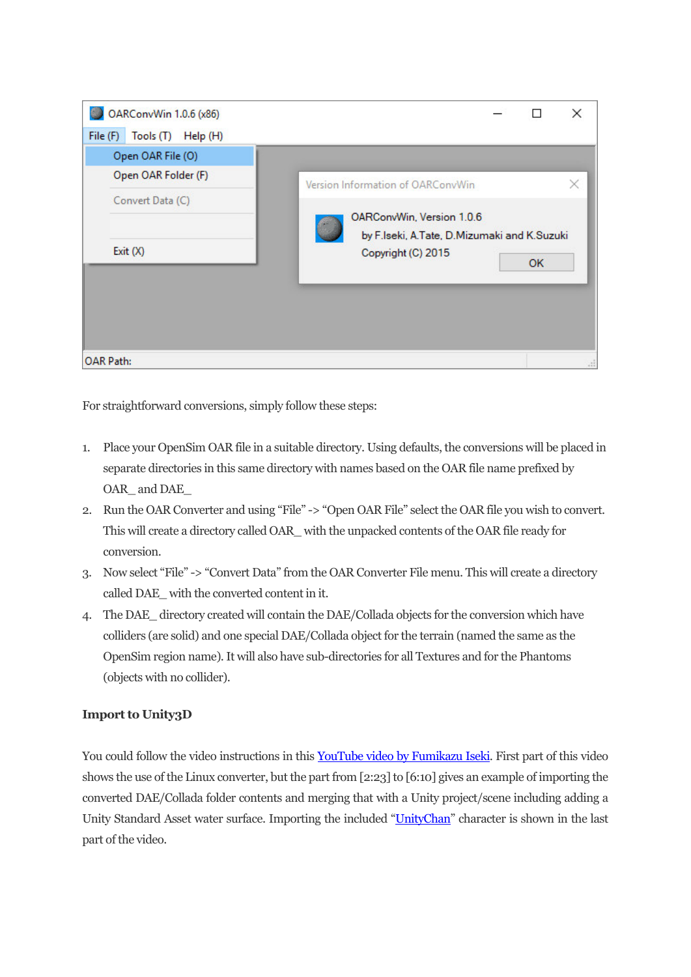

For straightforward conversions, simply follow these steps:

- 1. Place your OpenSim OAR file in a suitable directory. Using defaults, the conversions will be placed in separate directories in this same directory with names based on the OAR file name prefixed by OAR and DAE
- 2. Run the OAR Converter and using "File" -> "Open OAR File" select the OAR file you wish to convert. This will create a directory called OAR\_ with the unpacked contents of the OAR file ready for conversion.
- 3. Now select "File" -> "Convert Data" from the OAR Converter File menu. This will create a directory called DAE\_ with the converted content in it.
- 4. The DAE\_ directory created will contain the DAE/Collada objects for the conversion which have colliders (are solid) and one special DAE/Collada object for the terrain (named the same as the OpenSim region name). It will also have sub-directories for all Textures and for the Phantoms (objects with no collider).

# **Import to Unity3D**

You could follow the video instructions in this YouTube video by Fumikazu Iseki. First part of this video shows the use of the Linux converter, but the part from [2:23] to [6:10] gives an example of importing the converted DAE/Collada folder contents and merging that with a Unity project/scene including adding a Unity Standard Asset water surface. Importing the included "UnityChan" character is shown in the last part of the video.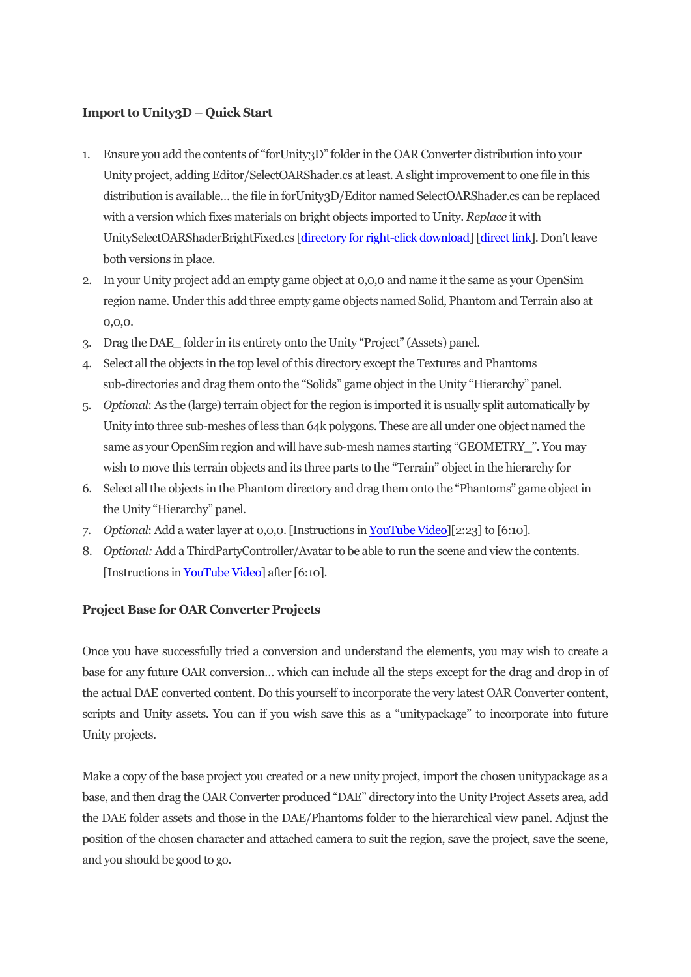# **Import to Unity3D – Quick Start**

- 1. Ensure you add the contents of "forUnity3D" folder in the OAR Converter distribution into your Unity project, adding Editor/SelectOARShader.cs at least. A slight improvement to one file in this distribution is available… the file in forUnity3D/Editor named SelectOARShader.cs can be replaced with a version which fixes materials on bright objects imported to Unity. *Replace* it with UnitySelectOARShaderBrightFixed.cs [directory for right-click download] [direct link]. Don't leave both versions in place.
- 2. In your Unity project add an empty game object at 0,0,0 and name it the same as your OpenSim region name. Under this add three empty game objects named Solid, Phantom and Terrain also at 0,0,0.
- 3. Drag the DAE\_ folder in its entirety onto the Unity "Project" (Assets) panel.
- 4. Select all the objects in the top level of this directory except the Textures and Phantoms sub-directories and drag them onto the "Solids" game object in the Unity "Hierarchy" panel.
- 5. *Optional*: As the (large) terrain object for the region is imported it is usually split automatically by Unity into three sub-meshes of less than 64k polygons. These are all under one object named the same as your OpenSim region and will have sub-mesh names starting "GEOMETRY\_". You may wish to move this terrain objects and its three parts to the "Terrain" object in the hierarchy for
- 6. Select all the objects in the Phantom directory and drag them onto the "Phantoms" game object in the Unity "Hierarchy" panel.
- 7. *Optional*: Add a water layer at 0,0,0. [Instructions in YouTube Video][2:23] to [6:10].
- 8. *Optional:* Add a ThirdPartyController/Avatar to be able to run the scene and view the contents. [Instructions in YouTube Video] after [6:10].

# **Project Base for OAR Converter Projects**

Once you have successfully tried a conversion and understand the elements, you may wish to create a base for any future OAR conversion… which can include all the steps except for the drag and drop in of the actual DAE converted content. Do this yourself to incorporate the very latest OAR Converter content, scripts and Unity assets. You can if you wish save this as a "unitypackage" to incorporate into future Unity projects.

Make a copy of the base project you created or a new unity project, import the chosen unitypackage as a base, and then drag the OAR Converter produced "DAE" directory into the Unity Project Assets area, add the DAE folder assets and those in the DAE/Phantoms folder to the hierarchical view panel. Adjust the position of the chosen character and attached camera to suit the region, save the project, save the scene, and you should be good to go.